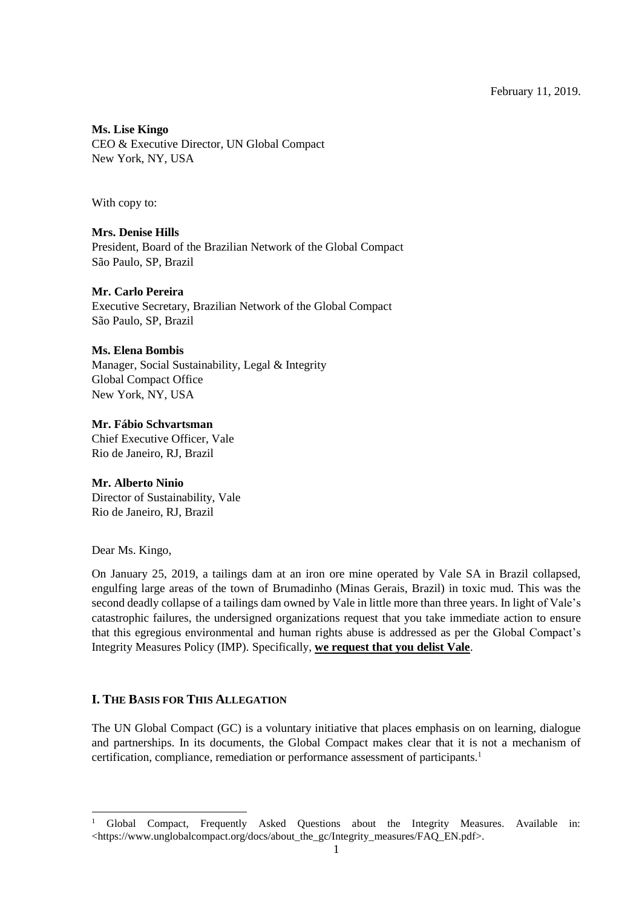February 11, 2019.

**Ms. Lise Kingo**

CEO & Executive Director, UN Global Compact New York, NY, USA

With copy to:

**Mrs. Denise Hills** President, Board of the Brazilian Network of the Global Compact São Paulo, SP, Brazil

#### **Mr. Carlo Pereira**

Executive Secretary, Brazilian Network of the Global Compact São Paulo, SP, Brazil

#### **Ms. Elena Bombis**

Manager, Social Sustainability, Legal & Integrity Global Compact Office New York, NY, USA

### **Mr. Fábio Schvartsman**

Chief Executive Officer, Vale Rio de Janeiro, RJ, Brazil

#### **Mr. Alberto Ninio**

Director of Sustainability, Vale Rio de Janeiro, RJ, Brazil

Dear Ms. Kingo,

1

On January 25, 2019, a tailings dam at an iron ore mine operated by Vale SA in Brazil collapsed, engulfing large areas of the town of Brumadinho (Minas Gerais, Brazil) in toxic mud. This was the second deadly collapse of a tailings dam owned by Vale in little more than three years. In light of Vale's catastrophic failures, the undersigned organizations request that you take immediate action to ensure that this egregious environmental and human rights abuse is addressed as per the Global Compact's Integrity Measures Policy (IMP). Specifically, **we request that you delist Vale**.

# **I. THE BASIS FOR THIS ALLEGATION**

The UN Global Compact (GC) is a voluntary initiative that places emphasis on on learning, dialogue and partnerships. In its documents, the Global Compact makes clear that it is not a mechanism of certification, compliance, remediation or performance assessment of participants.<sup>1</sup>

<sup>&</sup>lt;sup>1</sup> Global Compact, Frequently Asked Questions about the Integrity Measures. Available in: <https://www.unglobalcompact.org/docs/about\_the\_gc/Integrity\_measures/FAQ\_EN.pdf>.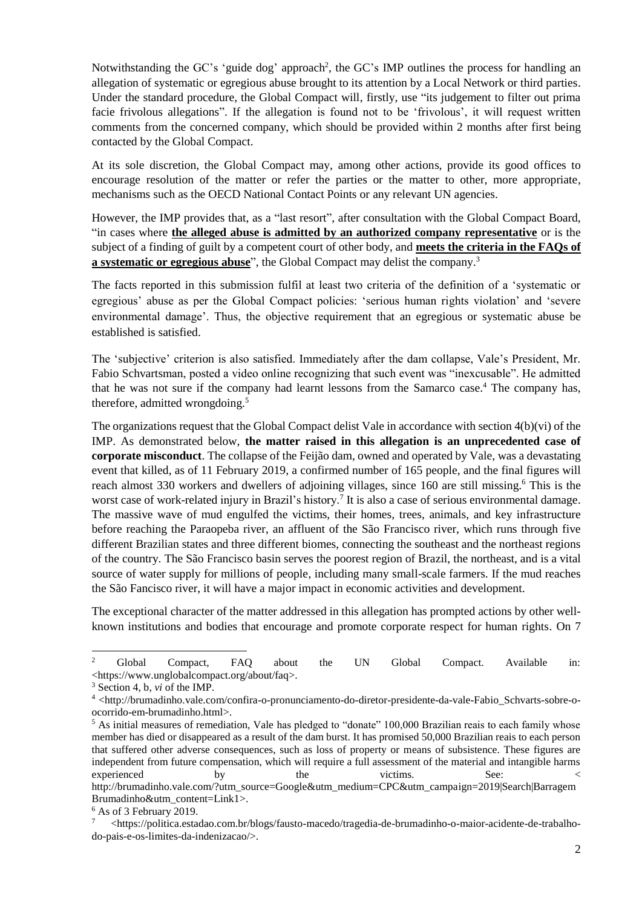Notwithstanding the GC's 'guide dog' approach<sup>2</sup>, the GC's IMP outlines the process for handling an allegation of systematic or egregious abuse brought to its attention by a Local Network or third parties. Under the standard procedure, the Global Compact will, firstly, use "its judgement to filter out prima facie frivolous allegations". If the allegation is found not to be 'frivolous', it will request written comments from the concerned company, which should be provided within 2 months after first being contacted by the Global Compact.

At its sole discretion, the Global Compact may, among other actions, provide its good offices to encourage resolution of the matter or refer the parties or the matter to other, more appropriate, mechanisms such as the OECD National Contact Points or any relevant UN agencies.

However, the IMP provides that, as a "last resort", after consultation with the Global Compact Board, "in cases where **the alleged abuse is admitted by an authorized company representative** or is the subject of a finding of guilt by a competent court of other body, and **meets the criteria in the FAQs of a systematic or egregious abuse**", the Global Compact may delist the company.<sup>3</sup>

The facts reported in this submission fulfil at least two criteria of the definition of a 'systematic or egregious' abuse as per the Global Compact policies: 'serious human rights violation' and 'severe environmental damage'. Thus, the objective requirement that an egregious or systematic abuse be established is satisfied.

The 'subjective' criterion is also satisfied. Immediately after the dam collapse, Vale's President, Mr. Fabio Schvartsman, posted a video online recognizing that such event was "inexcusable". He admitted that he was not sure if the company had learnt lessons from the Samarco case.<sup>4</sup> The company has, therefore, admitted wrongdoing.<sup>5</sup>

The organizations request that the Global Compact delist Vale in accordance with section 4(b)(vi) of the IMP. As demonstrated below, **the matter raised in this allegation is an unprecedented case of corporate misconduct**. The collapse of the Feijão dam, owned and operated by Vale, was a devastating event that killed, as of 11 February 2019, a confirmed number of 165 people, and the final figures will reach almost 330 workers and dwellers of adjoining villages, since 160 are still missing.<sup>6</sup> This is the worst case of work-related injury in Brazil's history.<sup>7</sup> It is also a case of serious environmental damage. The massive wave of mud engulfed the victims, their homes, trees, animals, and key infrastructure before reaching the Paraopeba river, an affluent of the São Francisco river, which runs through five different Brazilian states and three different biomes, connecting the southeast and the northeast regions of the country. The São Francisco basin serves the poorest region of Brazil, the northeast, and is a vital source of water supply for millions of people, including many small-scale farmers. If the mud reaches the São Fancisco river, it will have a major impact in economic activities and development.

The exceptional character of the matter addressed in this allegation has prompted actions by other wellknown institutions and bodies that encourage and promote corporate respect for human rights. On 7

1

<sup>&</sup>lt;sup>2</sup> Global Compact, FAQ about the UN Global Compact. Available in: <https://www.unglobalcompact.org/about/faq>.

<sup>3</sup> Section 4, b, *vi* of the IMP.

<sup>4</sup> <http://brumadinho.vale.com/confira-o-pronunciamento-do-diretor-presidente-da-vale-Fabio\_Schvarts-sobre-oocorrido-em-brumadinho.html>.

<sup>&</sup>lt;sup>5</sup> As initial measures of remediation, Vale has pledged to "donate" 100,000 Brazilian reais to each family whose member has died or disappeared as a result of the dam burst. It has promised 50,000 Brazilian reais to each person that suffered other adverse consequences, such as loss of property or means of subsistence. These figures are independent from future compensation, which will require a full assessment of the material and intangible harms experienced by the victims. See: < http://brumadinho.vale.com/?utm\_source=Google&utm\_medium=CPC&utm\_campaign=2019|Search|Barragem

Brumadinho&utm\_content=Link1>. <sup>6</sup> As of 3 February 2019.

<sup>7</sup> <https://politica.estadao.com.br/blogs/fausto-macedo/tragedia-de-brumadinho-o-maior-acidente-de-trabalhodo-pais-e-os-limites-da-indenizacao/>.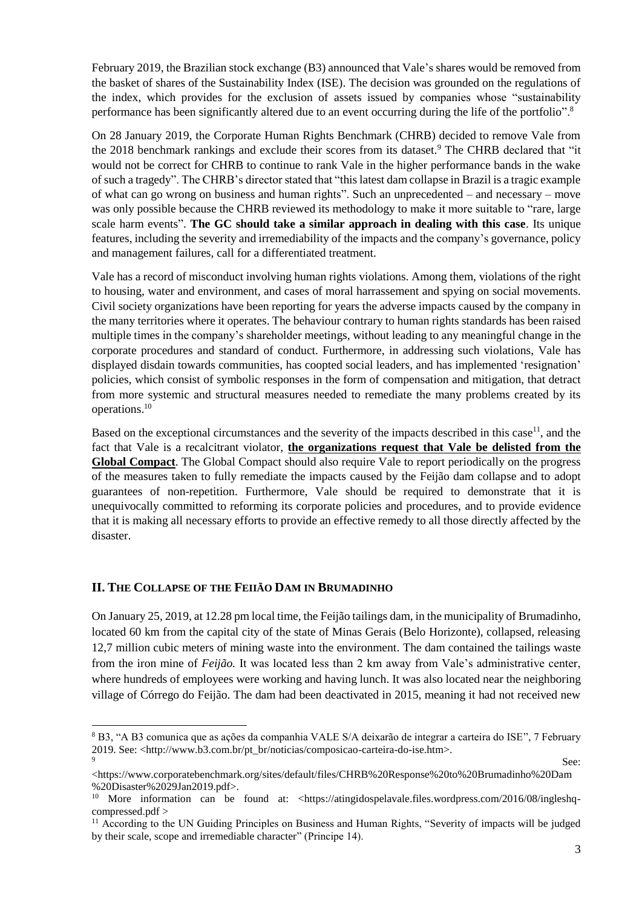February 2019, the Brazilian stock exchange (B3) announced that Vale's shares would be removed from the basket of shares of the Sustainability Index (ISE). The decision was grounded on the regulations of the index, which provides for the exclusion of assets issued by companies whose "sustainability performance has been significantly altered due to an event occurring during the life of the portfolio".<sup>8</sup>

On 28 January 2019, the Corporate Human Rights Benchmark (CHRB) decided to remove Vale from the 2018 benchmark rankings and exclude their scores from its dataset.<sup>9</sup> The CHRB declared that "it would not be correct for CHRB to continue to rank Vale in the higher performance bands in the wake of such a tragedy". The CHRB's director stated that "this latest dam collapse in Brazil is a tragic example of what can go wrong on business and human rights". Such an unprecedented – and necessary – move was only possible because the CHRB reviewed its methodology to make it more suitable to "rare, large scale harm events". **The GC should take a similar approach in dealing with this case**. Its unique features, including the severity and irremediability of the impacts and the company's governance, policy and management failures, call for a differentiated treatment.

Vale has a record of misconduct involving human rights violations. Among them, violations of the right to housing, water and environment, and cases of moral harrassement and spying on social movements. Civil society organizations have been reporting for years the adverse impacts caused by the company in the many territories where it operates. The behaviour contrary to human rights standards has been raised multiple times in the company's shareholder meetings, without leading to any meaningful change in the corporate procedures and standard of conduct. Furthermore, in addressing such violations, Vale has displayed disdain towards communities, has coopted social leaders, and has implemented 'resignation' policies, which consist of symbolic responses in the form of compensation and mitigation, that detract from more systemic and structural measures needed to remediate the many problems created by its operations. 10

Based on the exceptional circumstances and the severity of the impacts described in this case<sup>11</sup>, and the fact that Vale is a recalcitrant violator, **the organizations request that Vale be delisted from the Global Compact**. The Global Compact should also require Vale to report periodically on the progress of the measures taken to fully remediate the impacts caused by the Feijão dam collapse and to adopt guarantees of non-repetition. Furthermore, Vale should be required to demonstrate that it is unequivocally committed to reforming its corporate policies and procedures, and to provide evidence that it is making all necessary efforts to provide an effective remedy to all those directly affected by the disaster.

# **II. THE COLLAPSE OF THE FEIIÃO DAM IN BRUMADINHO**

1

On January 25, 2019, at 12.28 pm local time, the Feijão tailings dam, in the municipality of Brumadinho, located 60 km from the capital city of the state of Minas Gerais (Belo Horizonte), collapsed, releasing 12,7 million cubic meters of mining waste into the environment. The dam contained the tailings waste from the iron mine of *Feijão.* It was located less than 2 km away from Vale's administrative center, where hundreds of employees were working and having lunch. It was also located near the neighboring village of Córrego do Feijão. The dam had been deactivated in 2015, meaning it had not received new

<sup>8</sup> B3, "A B3 comunica que as ações da companhia VALE S/A deixarão de integrar a carteira do ISE", 7 February 2019. See: <http://www.b3.com.br/pt\_br/noticias/composicao-carteira-do-ise.htm>.  $\mathbf{S}$ ee:

<sup>&</sup>lt;https://www.corporatebenchmark.org/sites/default/files/CHRB%20Response%20to%20Brumadinho%20Dam %20Disaster%2029Jan2019.pdf>.

<sup>&</sup>lt;sup>10</sup> More information can be found at: <https://atingidospelavale.files.wordpress.com/2016/08/ingleshqcompressed.pdf >

<sup>&</sup>lt;sup>11</sup> According to the UN Guiding Principles on Business and Human Rights, "Severity of impacts will be judged by their scale, scope and irremediable character" (Principe 14).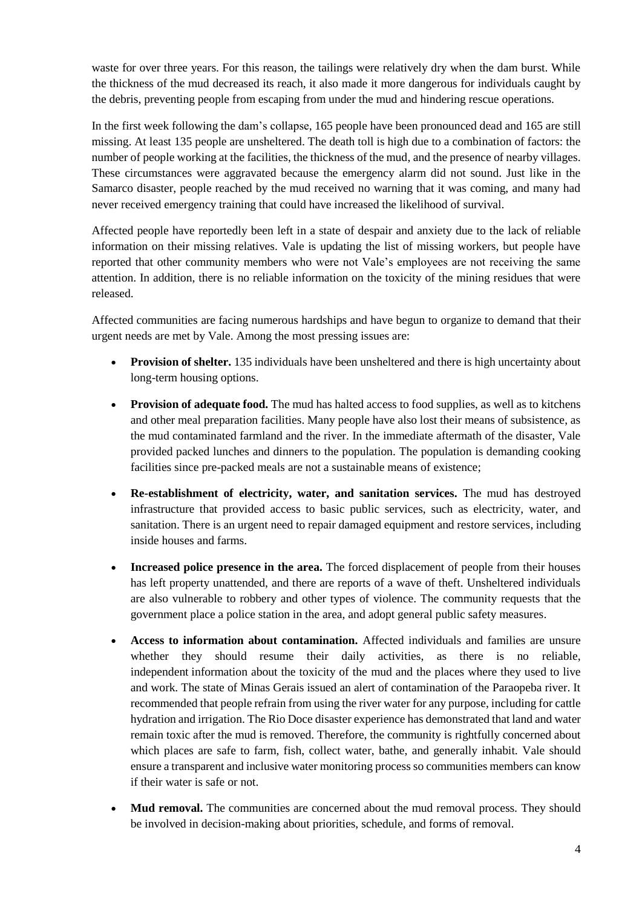waste for over three years. For this reason, the tailings were relatively dry when the dam burst. While the thickness of the mud decreased its reach, it also made it more dangerous for individuals caught by the debris, preventing people from escaping from under the mud and hindering rescue operations.

In the first week following the dam's collapse, 165 people have been pronounced dead and 165 are still missing. At least 135 people are unsheltered. The death toll is high due to a combination of factors: the number of people working at the facilities, the thickness of the mud, and the presence of nearby villages. These circumstances were aggravated because the emergency alarm did not sound. Just like in the Samarco disaster, people reached by the mud received no warning that it was coming, and many had never received emergency training that could have increased the likelihood of survival.

Affected people have reportedly been left in a state of despair and anxiety due to the lack of reliable information on their missing relatives. Vale is updating the list of missing workers, but people have reported that other community members who were not Vale's employees are not receiving the same attention. In addition, there is no reliable information on the toxicity of the mining residues that were released.

Affected communities are facing numerous hardships and have begun to organize to demand that their urgent needs are met by Vale. Among the most pressing issues are:

- **Provision of shelter.** 135 individuals have been unsheltered and there is high uncertainty about long-term housing options.
- Provision of adequate food. The mud has halted access to food supplies, as well as to kitchens and other meal preparation facilities. Many people have also lost their means of subsistence, as the mud contaminated farmland and the river. In the immediate aftermath of the disaster, Vale provided packed lunches and dinners to the population. The population is demanding cooking facilities since pre-packed meals are not a sustainable means of existence;
- **Re-establishment of electricity, water, and sanitation services.** The mud has destroyed infrastructure that provided access to basic public services, such as electricity, water, and sanitation. There is an urgent need to repair damaged equipment and restore services, including inside houses and farms.
- **Increased police presence in the area.** The forced displacement of people from their houses has left property unattended, and there are reports of a wave of theft. Unsheltered individuals are also vulnerable to robbery and other types of violence. The community requests that the government place a police station in the area, and adopt general public safety measures.
- **Access to information about contamination.** Affected individuals and families are unsure whether they should resume their daily activities, as there is no reliable, independent information about the toxicity of the mud and the places where they used to live and work. The state of Minas Gerais issued an alert of contamination of the Paraopeba river. It recommended that people refrain from using the river water for any purpose, including for cattle hydration and irrigation. The Rio Doce disaster experience has demonstrated that land and water remain toxic after the mud is removed. Therefore, the community is rightfully concerned about which places are safe to farm, fish, collect water, bathe, and generally inhabit. Vale should ensure a transparent and inclusive water monitoring process so communities members can know if their water is safe or not.
- **Mud removal.** The communities are concerned about the mud removal process. They should be involved in decision-making about priorities, schedule, and forms of removal.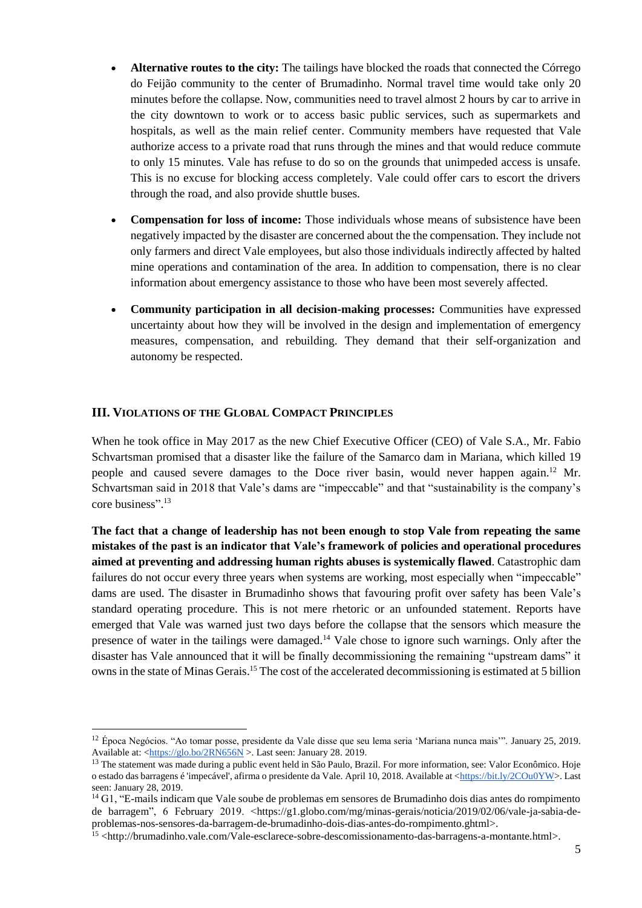- **Alternative routes to the city:** The tailings have blocked the roads that connected the Córrego do Feijão community to the center of Brumadinho. Normal travel time would take only 20 minutes before the collapse. Now, communities need to travel almost 2 hours by car to arrive in the city downtown to work or to access basic public services, such as supermarkets and hospitals, as well as the main relief center. Community members have requested that Vale authorize access to a private road that runs through the mines and that would reduce commute to only 15 minutes. Vale has refuse to do so on the grounds that unimpeded access is unsafe. This is no excuse for blocking access completely. Vale could offer cars to escort the drivers through the road, and also provide shuttle buses.
- **Compensation for loss of income:** Those individuals whose means of subsistence have been negatively impacted by the disaster are concerned about the the compensation. They include not only farmers and direct Vale employees, but also those individuals indirectly affected by halted mine operations and contamination of the area. In addition to compensation, there is no clear information about emergency assistance to those who have been most severely affected.
- **Community participation in all decision-making processes:** Communities have expressed uncertainty about how they will be involved in the design and implementation of emergency measures, compensation, and rebuilding. They demand that their self-organization and autonomy be respected.

# **III. VIOLATIONS OF THE GLOBAL COMPACT PRINCIPLES**

1

When he took office in May 2017 as the new Chief Executive Officer (CEO) of Vale S.A., Mr. Fabio Schvartsman promised that a disaster like the failure of the Samarco dam in Mariana, which killed 19 people and caused severe damages to the Doce river basin, would never happen again.<sup>12</sup> Mr. Schvartsman said in 2018 that Vale's dams are "impeccable" and that "sustainability is the company's core business". 13

**The fact that a change of leadership has not been enough to stop Vale from repeating the same mistakes of the past is an indicator that Vale's framework of policies and operational procedures aimed at preventing and addressing human rights abuses is systemically flawed**. Catastrophic dam failures do not occur every three years when systems are working, most especially when "impeccable" dams are used. The disaster in Brumadinho shows that favouring profit over safety has been Vale's standard operating procedure. This is not mere rhetoric or an unfounded statement. Reports have emerged that Vale was warned just two days before the collapse that the sensors which measure the presence of water in the tailings were damaged.<sup>14</sup> Vale chose to ignore such warnings. Only after the disaster has Vale announced that it will be finally decommissioning the remaining "upstream dams" it owns in the state of Minas Gerais. <sup>15</sup> The cost of the accelerated decommissioning is estimated at 5 billion

<sup>12</sup> Época Negócios. "Ao tomar posse, presidente da Vale disse que seu lema seria 'Mariana nunca mais'". January 25, 2019. Available at:  $\frac{\text{https://glo.bo/2RN656N}}{\text{Avalable}}$  >. Last seen: January 28. 2019.

<sup>&</sup>lt;sup>13</sup> The statement was made during a public event held in São Paulo, Brazil. For more information, see: Valor Econômico. Hoje o estado das barragens é 'impecável', afirma o presidente da Vale. April 10, 2018. Available at [<https://bit.ly/2COu0YW>](https://bit.ly/2COu0YW). Last seen: January 28, 2019.

<sup>&</sup>lt;sup>14</sup> G1, "E-mails indicam que Vale soube de problemas em sensores de Brumadinho dois dias antes do rompimento de barragem", 6 February 2019. <https://g1.globo.com/mg/minas-gerais/noticia/2019/02/06/vale-ja-sabia-deproblemas-nos-sensores-da-barragem-de-brumadinho-dois-dias-antes-do-rompimento.ghtml>.

<sup>15</sup> <http://brumadinho.vale.com/Vale-esclarece-sobre-descomissionamento-das-barragens-a-montante.html>.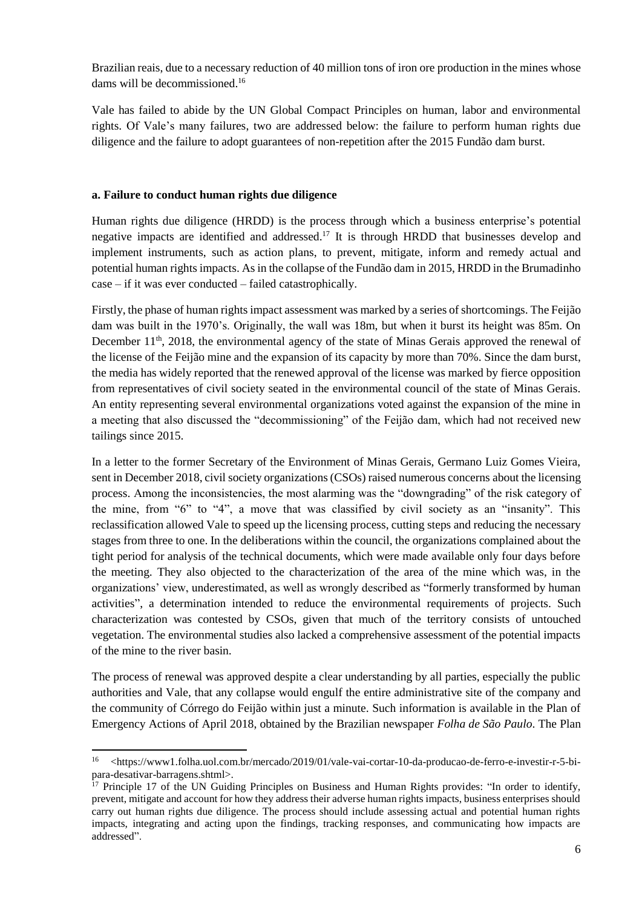Brazilian reais, due to a necessary reduction of 40 million tons of iron ore production in the mines whose dams will be decommissioned. 16

Vale has failed to abide by the UN Global Compact Principles on human, labor and environmental rights. Of Vale's many failures, two are addressed below: the failure to perform human rights due diligence and the failure to adopt guarantees of non-repetition after the 2015 Fundão dam burst.

### **a. Failure to conduct human rights due diligence**

1

Human rights due diligence (HRDD) is the process through which a business enterprise's potential negative impacts are identified and addressed.<sup>17</sup> It is through HRDD that businesses develop and implement instruments, such as action plans, to prevent, mitigate, inform and remedy actual and potential human rights impacts. As in the collapse of the Fundão dam in 2015, HRDD in the Brumadinho case – if it was ever conducted – failed catastrophically.

Firstly, the phase of human rights impact assessment was marked by a series of shortcomings. The Feijão dam was built in the 1970's. Originally, the wall was 18m, but when it burst its height was 85m. On December 11<sup>th</sup>, 2018, the environmental agency of the state of Minas Gerais approved the renewal of the license of the Feijão mine and the expansion of its capacity by more than 70%. Since the dam burst, the media has widely reported that the renewed approval of the license was marked by fierce opposition from representatives of civil society seated in the environmental council of the state of Minas Gerais. An entity representing several environmental organizations voted against the expansion of the mine in a meeting that also discussed the "decommissioning" of the Feijão dam, which had not received new tailings since 2015.

In a letter to the former Secretary of the Environment of Minas Gerais, Germano Luiz Gomes Vieira, sent in December 2018, civil society organizations (CSOs) raised numerous concerns about the licensing process. Among the inconsistencies, the most alarming was the "downgrading" of the risk category of the mine, from "6" to "4", a move that was classified by civil society as an "insanity". This reclassification allowed Vale to speed up the licensing process, cutting steps and reducing the necessary stages from three to one. In the deliberations within the council, the organizations complained about the tight period for analysis of the technical documents, which were made available only four days before the meeting. They also objected to the characterization of the area of the mine which was, in the organizations' view, underestimated, as well as wrongly described as "formerly transformed by human activities", a determination intended to reduce the environmental requirements of projects. Such characterization was contested by CSOs, given that much of the territory consists of untouched vegetation. The environmental studies also lacked a comprehensive assessment of the potential impacts of the mine to the river basin.

The process of renewal was approved despite a clear understanding by all parties, especially the public authorities and Vale, that any collapse would engulf the entire administrative site of the company and the community of Córrego do Feijão within just a minute. Such information is available in the Plan of Emergency Actions of April 2018, obtained by the Brazilian newspaper *Folha de São Paulo*. The Plan

<sup>16</sup> <https://www1.folha.uol.com.br/mercado/2019/01/vale-vai-cortar-10-da-producao-de-ferro-e-investir-r-5-bipara-desativar-barragens.shtml>.

 $17$  Principle 17 of the UN Guiding Principles on Business and Human Rights provides: "In order to identify, prevent, mitigate and account for how they address their adverse human rights impacts, business enterprises should carry out human rights due diligence. The process should include assessing actual and potential human rights impacts, integrating and acting upon the findings, tracking responses, and communicating how impacts are addressed".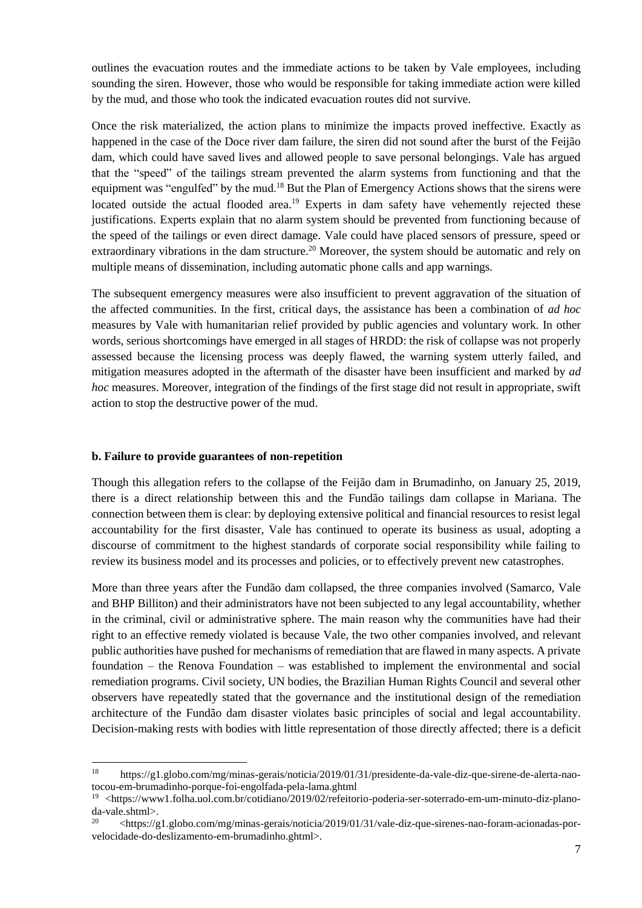outlines the evacuation routes and the immediate actions to be taken by Vale employees, including sounding the siren. However, those who would be responsible for taking immediate action were killed by the mud, and those who took the indicated evacuation routes did not survive.

Once the risk materialized, the action plans to minimize the impacts proved ineffective. Exactly as happened in the case of the Doce river dam failure, the siren did not sound after the burst of the Feijão dam, which could have saved lives and allowed people to save personal belongings. Vale has argued that the "speed" of the tailings stream prevented the alarm systems from functioning and that the equipment was "engulfed" by the mud.<sup>18</sup> But the Plan of Emergency Actions shows that the sirens were located outside the actual flooded area.<sup>19</sup> Experts in dam safety have vehemently rejected these justifications. Experts explain that no alarm system should be prevented from functioning because of the speed of the tailings or even direct damage. Vale could have placed sensors of pressure, speed or extraordinary vibrations in the dam structure.<sup>20</sup> Moreover, the system should be automatic and rely on multiple means of dissemination, including automatic phone calls and app warnings.

The subsequent emergency measures were also insufficient to prevent aggravation of the situation of the affected communities. In the first, critical days, the assistance has been a combination of *ad hoc* measures by Vale with humanitarian relief provided by public agencies and voluntary work. In other words, serious shortcomings have emerged in all stages of HRDD: the risk of collapse was not properly assessed because the licensing process was deeply flawed, the warning system utterly failed, and mitigation measures adopted in the aftermath of the disaster have been insufficient and marked by *ad hoc* measures. Moreover, integration of the findings of the first stage did not result in appropriate, swift action to stop the destructive power of the mud.

#### **b. Failure to provide guarantees of non-repetition**

1

Though this allegation refers to the collapse of the Feijão dam in Brumadinho, on January 25, 2019, there is a direct relationship between this and the Fundão tailings dam collapse in Mariana. The connection between them is clear: by deploying extensive political and financial resources to resist legal accountability for the first disaster, Vale has continued to operate its business as usual, adopting a discourse of commitment to the highest standards of corporate social responsibility while failing to review its business model and its processes and policies, or to effectively prevent new catastrophes.

More than three years after the Fundão dam collapsed, the three companies involved (Samarco, Vale and BHP Billiton) and their administrators have not been subjected to any legal accountability, whether in the criminal, civil or administrative sphere. The main reason why the communities have had their right to an effective remedy violated is because Vale, the two other companies involved, and relevant public authorities have pushed for mechanisms of remediation that are flawed in many aspects. A private foundation – the Renova Foundation – was established to implement the environmental and social remediation programs. Civil society, UN bodies, the Brazilian Human Rights Council and several other observers have repeatedly stated that the governance and the institutional design of the remediation architecture of the Fundão dam disaster violates basic principles of social and legal accountability. Decision-making rests with bodies with little representation of those directly affected; there is a deficit

<sup>18</sup> https://g1.globo.com/mg/minas-gerais/noticia/2019/01/31/presidente-da-vale-diz-que-sirene-de-alerta-naotocou-em-brumadinho-porque-foi-engolfada-pela-lama.ghtml

<sup>&</sup>lt;sup>19</sup> <https://www1.folha.uol.com.br/cotidiano/2019/02/refeitorio-poderia-ser-soterrado-em-um-minuto-diz-planoda-vale.shtml>.

<sup>&</sup>lt;sup>20</sup>  $\langle$ https://g1.globo.com/mg/minas-gerais/noticia/2019/01/31/vale-diz-que-sirenes-nao-foram-acionadas-porvelocidade-do-deslizamento-em-brumadinho.ghtml>.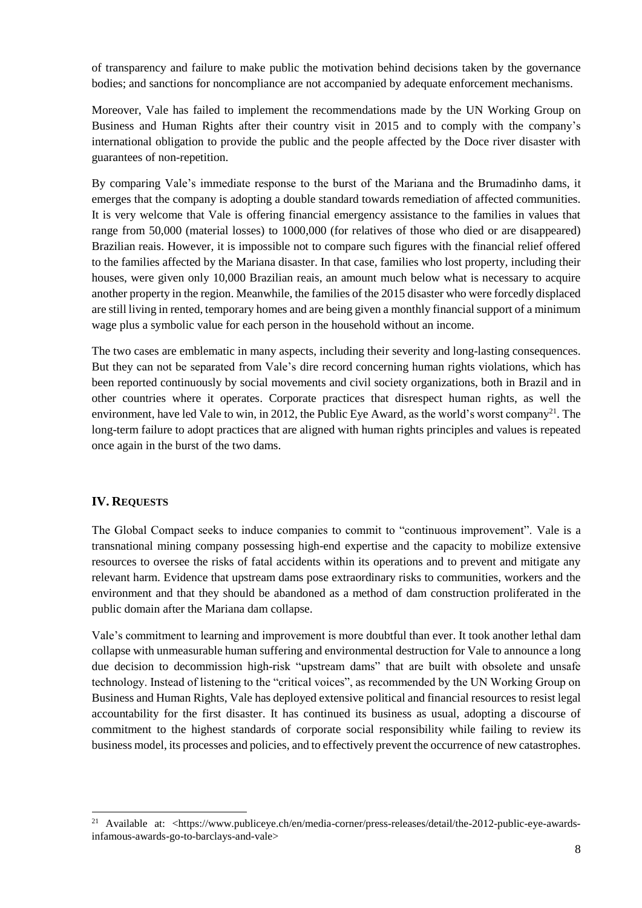of transparency and failure to make public the motivation behind decisions taken by the governance bodies; and sanctions for noncompliance are not accompanied by adequate enforcement mechanisms.

Moreover, Vale has failed to implement the recommendations made by the UN Working Group on Business and Human Rights after their country visit in 2015 and to comply with the company's international obligation to provide the public and the people affected by the Doce river disaster with guarantees of non-repetition.

By comparing Vale's immediate response to the burst of the Mariana and the Brumadinho dams, it emerges that the company is adopting a double standard towards remediation of affected communities. It is very welcome that Vale is offering financial emergency assistance to the families in values that range from 50,000 (material losses) to 1000,000 (for relatives of those who died or are disappeared) Brazilian reais. However, it is impossible not to compare such figures with the financial relief offered to the families affected by the Mariana disaster. In that case, families who lost property, including their houses, were given only 10,000 Brazilian reais, an amount much below what is necessary to acquire another property in the region. Meanwhile, the families of the 2015 disaster who were forcedly displaced are still living in rented, temporary homes and are being given a monthly financial support of a minimum wage plus a symbolic value for each person in the household without an income.

The two cases are emblematic in many aspects, including their severity and long-lasting consequences. But they can not be separated from Vale's dire record concerning human rights violations, which has been reported continuously by social movements and civil society organizations, both in Brazil and in other countries where it operates. Corporate practices that disrespect human rights, as well the environment, have led Vale to win, in 2012, the Public Eye Award, as the world's worst company<sup>21</sup>. The long-term failure to adopt practices that are aligned with human rights principles and values is repeated once again in the burst of the two dams.

# **IV. REQUESTS**

1

The Global Compact seeks to induce companies to commit to "continuous improvement". Vale is a transnational mining company possessing high-end expertise and the capacity to mobilize extensive resources to oversee the risks of fatal accidents within its operations and to prevent and mitigate any relevant harm. Evidence that upstream dams pose extraordinary risks to communities, workers and the environment and that they should be abandoned as a method of dam construction proliferated in the public domain after the Mariana dam collapse.

Vale's commitment to learning and improvement is more doubtful than ever. It took another lethal dam collapse with unmeasurable human suffering and environmental destruction for Vale to announce a long due decision to decommission high-risk "upstream dams" that are built with obsolete and unsafe technology. Instead of listening to the "critical voices", as recommended by the UN Working Group on Business and Human Rights, Vale has deployed extensive political and financial resources to resist legal accountability for the first disaster. It has continued its business as usual, adopting a discourse of commitment to the highest standards of corporate social responsibility while failing to review its business model, its processes and policies, and to effectively prevent the occurrence of new catastrophes.

<sup>&</sup>lt;sup>21</sup> Available at: <https://www.publiceye.ch/en/media-corner/press-releases/detail/the-2012-public-eye-awardsinfamous-awards-go-to-barclays-and-vale>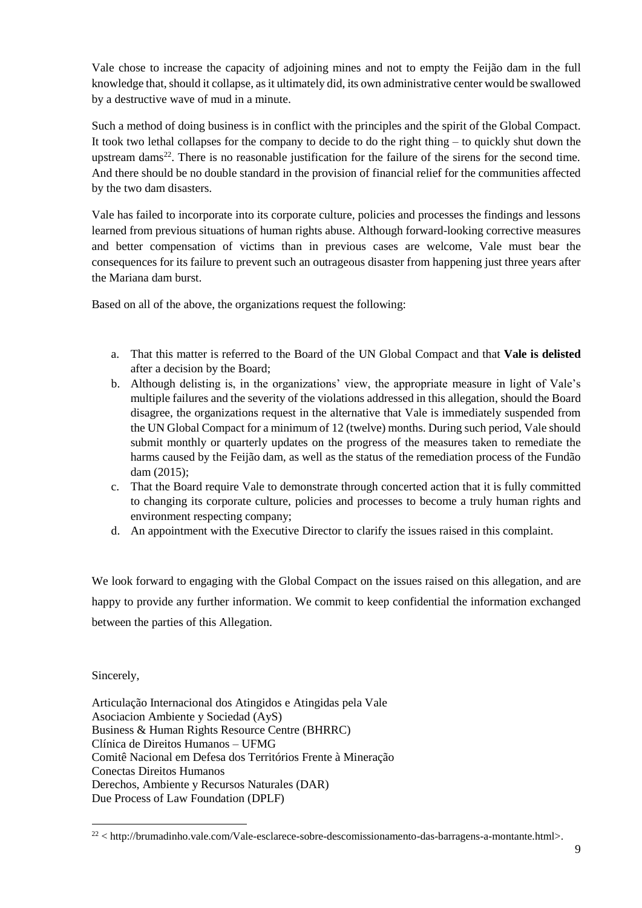Vale chose to increase the capacity of adjoining mines and not to empty the Feijão dam in the full knowledge that, should it collapse, as it ultimately did, its own administrative center would be swallowed by a destructive wave of mud in a minute.

Such a method of doing business is in conflict with the principles and the spirit of the Global Compact. It took two lethal collapses for the company to decide to do the right thing – to quickly shut down the upstream dams<sup>22</sup>. There is no reasonable justification for the failure of the sirens for the second time. And there should be no double standard in the provision of financial relief for the communities affected by the two dam disasters.

Vale has failed to incorporate into its corporate culture, policies and processes the findings and lessons learned from previous situations of human rights abuse. Although forward-looking corrective measures and better compensation of victims than in previous cases are welcome, Vale must bear the consequences for its failure to prevent such an outrageous disaster from happening just three years after the Mariana dam burst.

Based on all of the above, the organizations request the following:

- a. That this matter is referred to the Board of the UN Global Compact and that **Vale is delisted** after a decision by the Board;
- b. Although delisting is, in the organizations' view, the appropriate measure in light of Vale's multiple failures and the severity of the violations addressed in this allegation, should the Board disagree, the organizations request in the alternative that Vale is immediately suspended from the UN Global Compact for a minimum of 12 (twelve) months. During such period, Vale should submit monthly or quarterly updates on the progress of the measures taken to remediate the harms caused by the Feijão dam, as well as the status of the remediation process of the Fundão dam (2015);
- c. That the Board require Vale to demonstrate through concerted action that it is fully committed to changing its corporate culture, policies and processes to become a truly human rights and environment respecting company;
- d. An appointment with the Executive Director to clarify the issues raised in this complaint.

We look forward to engaging with the Global Compact on the issues raised on this allegation, and are happy to provide any further information. We commit to keep confidential the information exchanged between the parties of this Allegation.

Sincerely,

1

Articulação Internacional dos Atingidos e Atingidas pela Vale Asociacion Ambiente y Sociedad (AyS) Business & Human Rights Resource Centre (BHRRC) Clínica de Direitos Humanos – UFMG Comitê Nacional em Defesa dos Territórios Frente à Mineração Conectas Direitos Humanos Derechos, Ambiente y Recursos Naturales (DAR) Due Process of Law Foundation (DPLF)

 $22$  < http://brumadinho.vale.com/Vale-esclarece-sobre-descomissionamento-das-barragens-a-montante.html>.